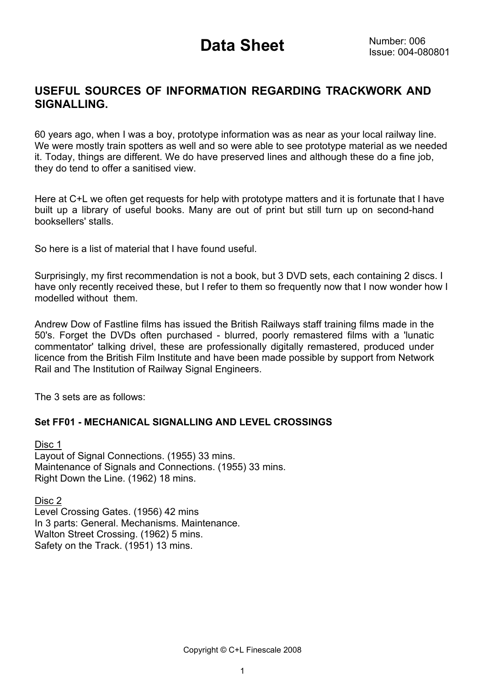### **USEFUL SOURCES OF INFORMATION REGARDING TRACKWORK AND SIGNALLING.**

60 years ago, when I was a boy, prototype information was as near as your local railway line. We were mostly train spotters as well and so were able to see prototype material as we needed it. Today, things are different. We do have preserved lines and although these do a fine job, they do tend to offer a sanitised view.

Here at C+L we often get requests for help with prototype matters and it is fortunate that I have built up a library of useful books. Many are out of print but still turn up on second-hand booksellers' stalls.

So here is a list of material that I have found useful.

Surprisingly, my first recommendation is not a book, but 3 DVD sets, each containing 2 discs. I have only recently received these, but I refer to them so frequently now that I now wonder how I modelled without them.

Andrew Dow of Fastline films has issued the British Railways staff training films made in the 50's. Forget the DVDs often purchased - blurred, poorly remastered films with a 'lunatic commentator' talking drivel, these are professionally digitally remastered, produced under licence from the British Film Institute and have been made possible by support from Network Rail and The Institution of Railway Signal Engineers.

The 3 sets are as follows:

#### **Set FF01 - MECHANICAL SIGNALLING AND LEVEL CROSSINGS**

Disc 1 Layout of Signal Connections. (1955) 33 mins. Maintenance of Signals and Connections. (1955) 33 mins. Right Down the Line. (1962) 18 mins.

Disc 2 Level Crossing Gates. (1956) 42 mins In 3 parts: General. Mechanisms. Maintenance. Walton Street Crossing. (1962) 5 mins. Safety on the Track. (1951) 13 mins.

Copyright © C+L Finescale 2008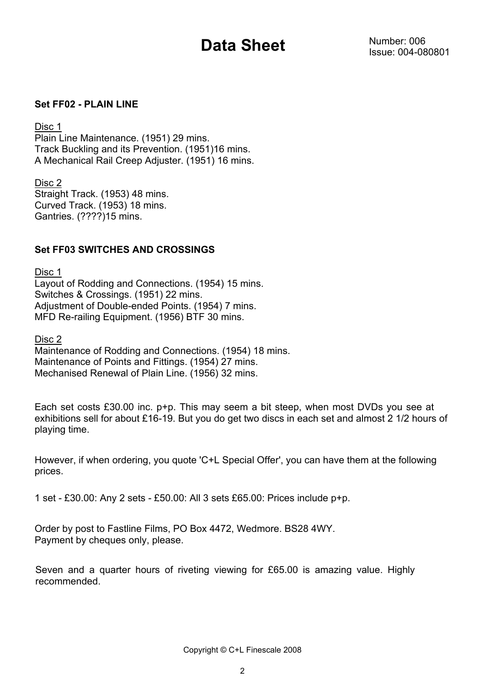#### **Set FF02 - PLAIN LINE**

#### Disc 1

Plain Line Maintenance. (1951) 29 mins. Track Buckling and its Prevention. (1951)16 mins. A Mechanical Rail Creep Adjuster. (1951) 16 mins.

Disc 2 Straight Track. (1953) 48 mins. Curved Track. (1953) 18 mins. Gantries. (????)15 mins.

#### **Set FF03 SWITCHES AND CROSSINGS**

Disc 1 Layout of Rodding and Connections. (1954) 15 mins. Switches & Crossings. (1951) 22 mins. Adjustment of Double-ended Points. (1954) 7 mins. MFD Re-railing Equipment. (1956) BTF 30 mins.

Disc 2

Maintenance of Rodding and Connections. (1954) 18 mins. Maintenance of Points and Fittings. (1954) 27 mins. Mechanised Renewal of Plain Line. (1956) 32 mins.

Each set costs £30.00 inc. p+p. This may seem a bit steep, when most DVDs you see at exhibitions sell for about £16-19. But you do get two discs in each set and almost 2 1/2 hours of playing time.

However, if when ordering, you quote 'C+L Special Offer', you can have them at the following prices.

1 set - £30.00: Any 2 sets - £50.00: All 3 sets £65.00: Prices include p+p.

Order by post to Fastline Films, PO Box 4472, Wedmore. BS28 4WY. Payment by cheques only, please.

Seven and a quarter hours of riveting viewing for £65.00 is amazing value. Highly recommended.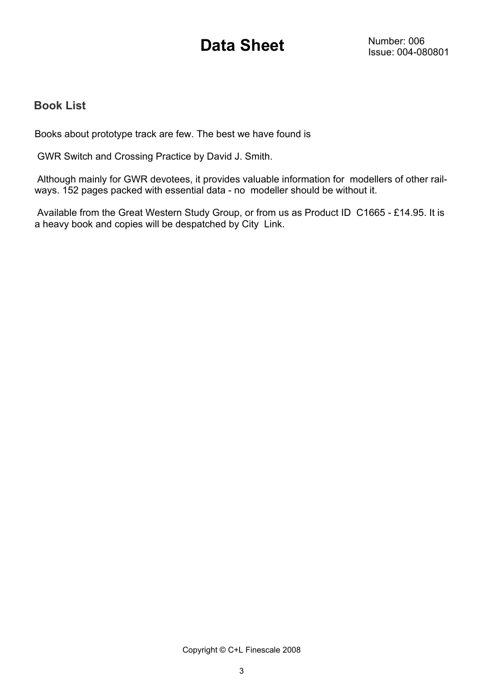### **Book List**

Books about prototype track are few. The best we have found is

GWR Switch and Crossing Practice by David J. Smith.

 Although mainly for GWR devotees, it provides valuable information for modellers of other railways. 152 pages packed with essential data - no modeller should be without it.

 Available from the Great Western Study Group, or from us as Product ID C1665 - £14.95. It is a heavy book and copies will be despatched by City Link.

Copyright © C+L Finescale 2008